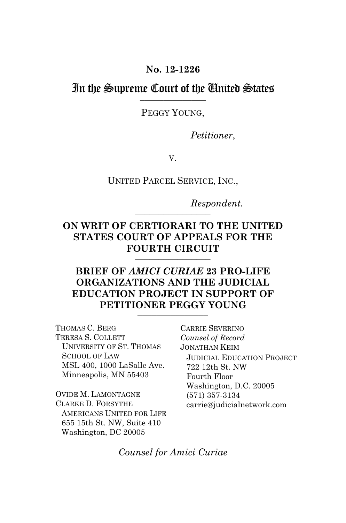#### In the Supreme Court of the United States  $\overline{\phantom{a}}$

PEGGY YOUNG,

*Petitioner*,

V.

UNITED PARCEL SERVICE, INC.,

*Respondent.*   $\frac{1}{2}$ 

#### **ON WRIT OF CERTIORARI TO THE UNITED STATES COURT OF APPEALS FOR THE FOURTH CIRCUIT**   $\overline{\phantom{a}}$

### **BRIEF OF** *AMICI CURIAE* **23 PRO-LIFE ORGANIZATIONS AND THE JUDICIAL EDUCATION PROJECT IN SUPPORT OF PETITIONER PEGGY YOUNG**  $\frac{1}{2}$

THOMAS C. BERG TERESA S. COLLETT UNIVERSITY OF ST. THOMAS SCHOOL OF LAW MSL 400, 1000 LaSalle Ave. Minneapolis, MN 55403

OVIDE M. LAMONTAGNE CLARKE D. FORSYTHE AMERICANS UNITED FOR LIFE 655 15th St. NW, Suite 410 Washington, DC 20005

CARRIE SEVERINO *Counsel of Record*  JONATHAN KEIM JUDICIAL EDUCATION PROJECT 722 12th St. NW Fourth Floor Washington, D.C. 20005 (571) 357-3134 carrie@judicialnetwork.com

*Counsel for Amici Curiae*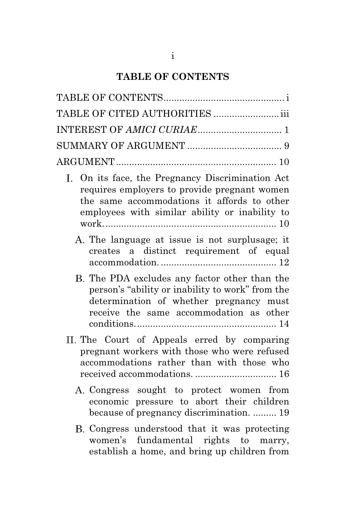# **TABLE OF CONTENTS**

| TABLE OF CITED AUTHORITIES  iii                                                                                                                                                                   |
|---------------------------------------------------------------------------------------------------------------------------------------------------------------------------------------------------|
|                                                                                                                                                                                                   |
|                                                                                                                                                                                                   |
|                                                                                                                                                                                                   |
| I. On its face, the Pregnancy Discrimination Act<br>requires employers to provide pregnant women<br>the same accommodations it affords to other<br>employees with similar ability or inability to |
| A. The language at issue is not surplusage; it<br>creates a distinct requirement of equal                                                                                                         |
| B. The PDA excludes any factor other than the<br>person's "ability or inability to work" from the<br>determination of whether pregnancy must<br>receive the same accommodation as other           |
| II. The Court of Appeals erred by comparing<br>pregnant workers with those who were refused<br>accommodations rather than with those who<br>received accommodations.  16                          |
| A. Congress sought to protect women from<br>economic pressure to abort their children<br>because of pregnancy discrimination.  19                                                                 |
| B. Congress understood that it was protecting<br>women's fundamental rights to marry,<br>establish a home, and bring up children from                                                             |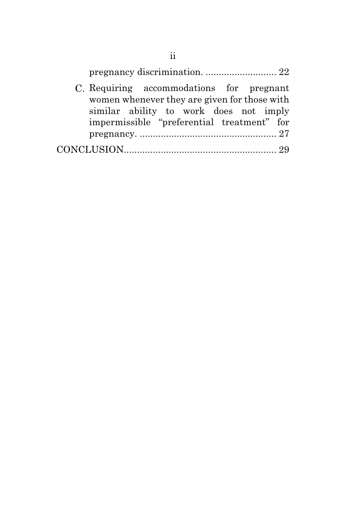| C. Requiring accommodations for pregnant<br>women whenever they are given for those with |  |
|------------------------------------------------------------------------------------------|--|
| similar ability to work does not imply<br>impermissible "preferential treatment" for     |  |
|                                                                                          |  |
|                                                                                          |  |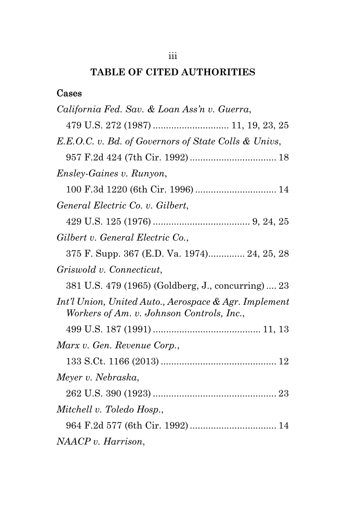## iii

# **TABLE OF CITED AUTHORITIES**

## Cases

| California Fed. Sav. & Loan Ass'n v. Guerra,                                                       |
|----------------------------------------------------------------------------------------------------|
| 479 U.S. 272 (1987)  11, 19, 23, 25                                                                |
| E.E.O.C. v. Bd. of Governors of State Colls & Univs,                                               |
|                                                                                                    |
| <i>Ensley-Gaines v. Runyon,</i>                                                                    |
|                                                                                                    |
| General Electric Co. v. Gilbert,                                                                   |
|                                                                                                    |
| Gilbert v. General Electric Co.,                                                                   |
| 375 F. Supp. 367 (E.D. Va. 1974) 24, 25, 28                                                        |
| Griswold v. Connecticut,                                                                           |
| 381 U.S. 479 (1965) (Goldberg, J., concurring)  23                                                 |
| Int'l Union, United Auto., Aerospace & Agr. Implement<br>Workers of Am. v. Johnson Controls, Inc., |
|                                                                                                    |
| Marx v. Gen. Revenue Corp.,                                                                        |
|                                                                                                    |
| Meyer v. Nebraska,                                                                                 |
|                                                                                                    |
| Mitchell v. Toledo Hosp.,                                                                          |
|                                                                                                    |
| NAACP v. Harrison,                                                                                 |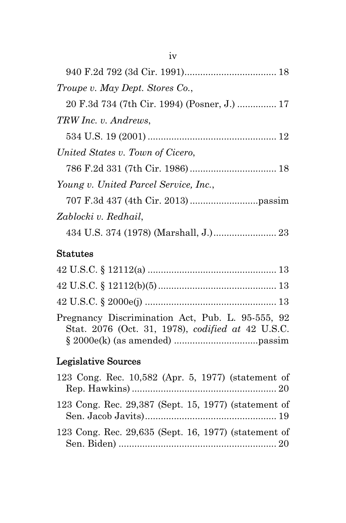| Troupe v. May Dept. Stores Co.,              |
|----------------------------------------------|
| 20 F.3d 734 (7th Cir. 1994) (Posner, J.)  17 |
| TRW Inc. v. Andrews,                         |
|                                              |
| United States v. Town of Cicero,             |
|                                              |
| Young v. United Parcel Service, Inc.,        |
|                                              |
| Zablocki v. Redhail,                         |
|                                              |

## Statutes

| Pregnancy Discrimination Act, Pub. L. 95-555, 92<br>Stat. 2076 (Oct. 31, 1978), codified at 42 U.S.C. |  |
|-------------------------------------------------------------------------------------------------------|--|

# Legislative Sources

| 123 Cong. Rec. 10,582 (Apr. 5, 1977) (statement of   |  |
|------------------------------------------------------|--|
|                                                      |  |
| 123 Cong. Rec. 29,387 (Sept. 15, 1977) (statement of |  |
| 123 Cong. Rec. 29,635 (Sept. 16, 1977) (statement of |  |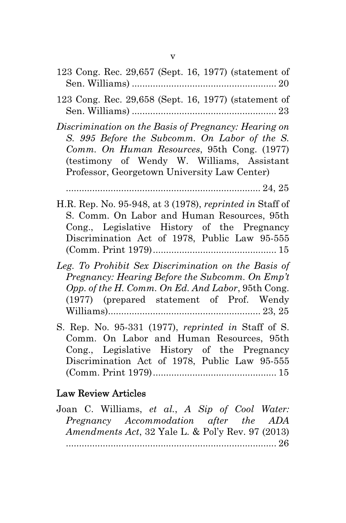- 123 Cong. Rec. 29,657 (Sept. 16, 1977) (statement of Sen. Williams) ....................................................... 20
- 123 Cong. Rec. 29,658 (Sept. 16, 1977) (statement of Sen. Williams) ....................................................... 23

*Discrimination on the Basis of Pregnancy: Hearing on S. 995 Before the Subcomm. On Labor of the S. Comm. On Human Resources*, 95th Cong. (1977) (testimony of Wendy W. Williams, Assistant Professor, Georgetown University Law Center)

.......................................................................... 24, 25

- H.R. Rep. No. 95-948, at 3 (1978), *reprinted in* Staff of S. Comm. On Labor and Human Resources, 95th Cong., Legislative History of the Pregnancy Discrimination Act of 1978, Public Law 95-555 (Comm. Print 1979) ............................................... 15
- *Leg. To Prohibit Sex Discrimination on the Basis of Pregnancy: Hearing Before the Subcomm. On Emp't Opp. of the H. Comm. On Ed. And Labor*, 95th Cong. (1977) (prepared statement of Prof. Wendy Williams).......................................................... 23, 25
- S. Rep. No. 95-331 (1977), *reprinted in* Staff of S. Comm. On Labor and Human Resources, 95th Cong., Legislative History of the Pregnancy Discrimination Act of 1978, Public Law 95-555 (Comm. Print 1979) ............................................... 15

### Law Review Articles

Joan C. Williams, *et al.*, *A Sip of Cool Water: Pregnancy Accommodation after the ADA Amendments Act*, 32 Yale L. & Pol'y Rev. 97 (2013) ................................................................................ 26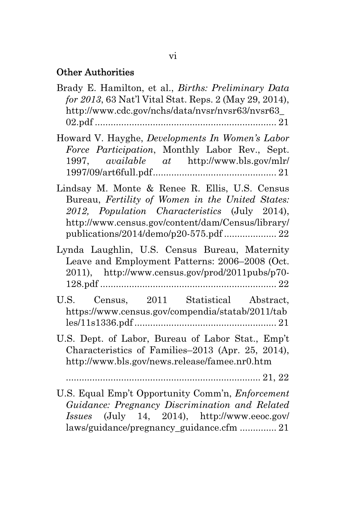#### Other Authorities

- Brady E. Hamilton, et al., *Births: Preliminary Data for 2013*, 63 Nat'l Vital Stat. Reps. 2 (May 29, 2014), http://www.cdc.gov/nchs/data/nvsr/nvsr63/nvsr63\_ 02.pdf ..................................................................... 21
- Howard V. Hayghe, *Developments In Women's Labor Force Participation*, Monthly Labor Rev., Sept. 1997, *available at* http://www.bls.gov/mlr/ 1997/09/art6full.pdf ............................................... 21
- Lindsay M. Monte & Renee R. Ellis, U.S. Census Bureau, *Fertility of Women in the United States: 2012, Population Characteristics* (July 2014), http://www.census.gov/content/dam/Census/library/ publications/2014/demo/p20-575.pdf .................... 22
- Lynda Laughlin, U.S. Census Bureau, Maternity Leave and Employment Patterns: 2006–2008 (Oct. 2011), http://www.census.gov/prod/2011pubs/p70- 128.pdf ................................................................... 22
- U.S. Census, 2011 Statistical Abstract, https://www.census.gov/compendia/statab/2011/tab les/11s1336.pdf ...................................................... 21
- U.S. Dept. of Labor, Bureau of Labor Stat., Emp't Characteristics of Families–2013 (Apr. 25, 2014), http://www.bls.gov/news.release/famee.nr0.htm

.......................................................................... 21, 22

U.S. Equal Emp't Opportunity Comm'n, *Enforcement Guidance: Pregnancy Discrimination and Related Issues* (July 14, 2014), http://www.eeoc.gov/ laws/guidance/pregnancy\_guidance.cfm .............. 21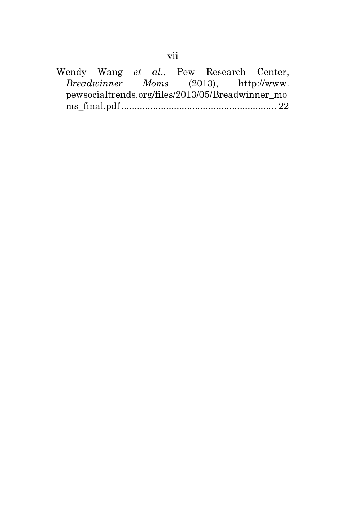Wendy Wang *et al.*, Pew Research Center, *Breadwinner Moms* (2013), http://www. pewsocialtrends.org/files/2013/05/Breadwinner\_mo ms\_final.pdf ........................................................... 22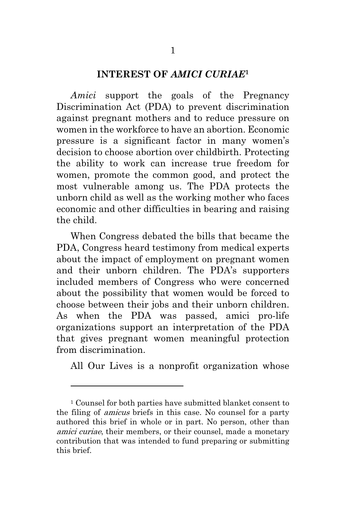#### **INTEREST OF** *AMICI CURIAE***<sup>1</sup>**

*Amici* support the goals of the Pregnancy Discrimination Act (PDA) to prevent discrimination against pregnant mothers and to reduce pressure on women in the workforce to have an abortion. Economic pressure is a significant factor in many women's decision to choose abortion over childbirth. Protecting the ability to work can increase true freedom for women, promote the common good, and protect the most vulnerable among us. The PDA protects the unborn child as well as the working mother who faces economic and other difficulties in bearing and raising the child.

When Congress debated the bills that became the PDA, Congress heard testimony from medical experts about the impact of employment on pregnant women and their unborn children. The PDA's supporters included members of Congress who were concerned about the possibility that women would be forced to choose between their jobs and their unborn children. As when the PDA was passed, amici pro-life organizations support an interpretation of the PDA that gives pregnant women meaningful protection from discrimination.

All Our Lives is a nonprofit organization whose

l.

<sup>1</sup> Counsel for both parties have submitted blanket consent to the filing of amicus briefs in this case. No counsel for a party authored this brief in whole or in part. No person, other than amici curiae, their members, or their counsel, made a monetary contribution that was intended to fund preparing or submitting this brief.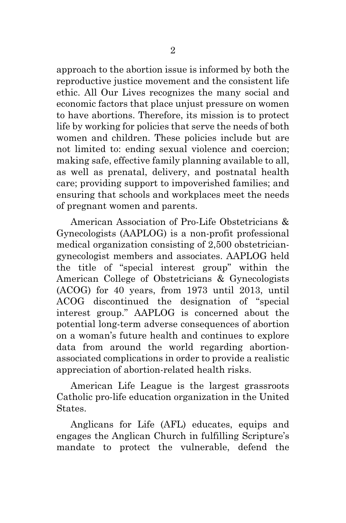approach to the abortion issue is informed by both the reproductive justice movement and the consistent life ethic. All Our Lives recognizes the many social and economic factors that place unjust pressure on women to have abortions. Therefore, its mission is to protect life by working for policies that serve the needs of both women and children. These policies include but are not limited to: ending sexual violence and coercion; making safe, effective family planning available to all, as well as prenatal, delivery, and postnatal health care; providing support to impoverished families; and ensuring that schools and workplaces meet the needs of pregnant women and parents.

American Association of Pro-Life Obstetricians & Gynecologists (AAPLOG) is a non-profit professional medical organization consisting of 2,500 obstetriciangynecologist members and associates. AAPLOG held the title of "special interest group" within the American College of Obstetricians & Gynecologists (ACOG) for 40 years, from 1973 until 2013, until ACOG discontinued the designation of "special interest group." AAPLOG is concerned about the potential long-term adverse consequences of abortion on a woman's future health and continues to explore data from around the world regarding abortionassociated complications in order to provide a realistic appreciation of abortion-related health risks.

American Life League is the largest grassroots Catholic pro-life education organization in the United States.

Anglicans for Life (AFL) educates, equips and engages the Anglican Church in fulfilling Scripture's mandate to protect the vulnerable, defend the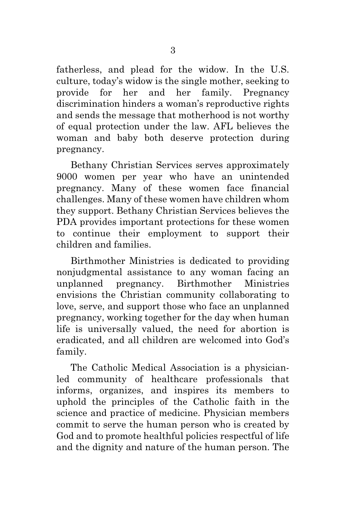fatherless, and plead for the widow. In the U.S. culture, today's widow is the single mother, seeking to provide for her and her family. Pregnancy discrimination hinders a woman's reproductive rights and sends the message that motherhood is not worthy of equal protection under the law. AFL believes the woman and baby both deserve protection during pregnancy.

Bethany Christian Services serves approximately 9000 women per year who have an unintended pregnancy. Many of these women face financial challenges. Many of these women have children whom they support. Bethany Christian Services believes the PDA provides important protections for these women to continue their employment to support their children and families.

Birthmother Ministries is dedicated to providing nonjudgmental assistance to any woman facing an unplanned pregnancy. Birthmother Ministries envisions the Christian community collaborating to love, serve, and support those who face an unplanned pregnancy, working together for the day when human life is universally valued, the need for abortion is eradicated, and all children are welcomed into God's family.

The Catholic Medical Association is a physicianled community of healthcare professionals that informs, organizes, and inspires its members to uphold the principles of the Catholic faith in the science and practice of medicine. Physician members commit to serve the human person who is created by God and to promote healthful policies respectful of life and the dignity and nature of the human person. The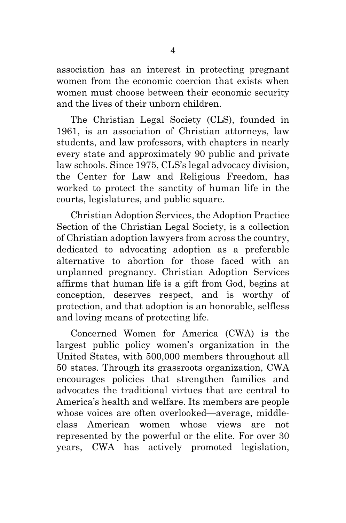association has an interest in protecting pregnant women from the economic coercion that exists when women must choose between their economic security and the lives of their unborn children.

The Christian Legal Society (CLS), founded in 1961, is an association of Christian attorneys, law students, and law professors, with chapters in nearly every state and approximately 90 public and private law schools. Since 1975, CLS's legal advocacy division, the Center for Law and Religious Freedom, has worked to protect the sanctity of human life in the courts, legislatures, and public square.

Christian Adoption Services, the Adoption Practice Section of the Christian Legal Society, is a collection of Christian adoption lawyers from across the country, dedicated to advocating adoption as a preferable alternative to abortion for those faced with an unplanned pregnancy. Christian Adoption Services affirms that human life is a gift from God, begins at conception, deserves respect, and is worthy of protection, and that adoption is an honorable, selfless and loving means of protecting life.

Concerned Women for America (CWA) is the largest public policy women's organization in the United States, with 500,000 members throughout all 50 states. Through its grassroots organization, CWA encourages policies that strengthen families and advocates the traditional virtues that are central to America's health and welfare. Its members are people whose voices are often overlooked—average, middleclass American women whose views are not represented by the powerful or the elite. For over 30 years, CWA has actively promoted legislation,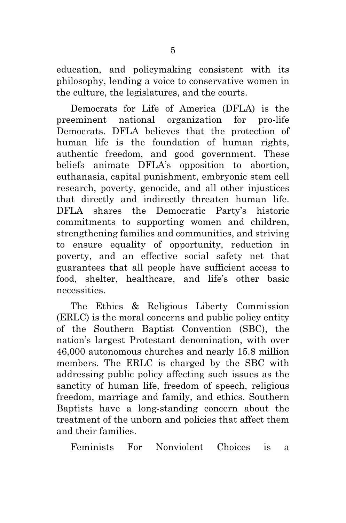education, and policymaking consistent with its philosophy, lending a voice to conservative women in the culture, the legislatures, and the courts.

Democrats for Life of America (DFLA) is the preeminent national organization for pro-life Democrats. DFLA believes that the protection of human life is the foundation of human rights, authentic freedom, and good government. These beliefs animate DFLA's opposition to abortion, euthanasia, capital punishment, embryonic stem cell research, poverty, genocide, and all other injustices that directly and indirectly threaten human life. DFLA shares the Democratic Party's historic commitments to supporting women and children, strengthening families and communities, and striving to ensure equality of opportunity, reduction in poverty, and an effective social safety net that guarantees that all people have sufficient access to food, shelter, healthcare, and life's other basic necessities.

The Ethics & Religious Liberty Commission (ERLC) is the moral concerns and public policy entity of the Southern Baptist Convention (SBC), the nation's largest Protestant denomination, with over 46,000 autonomous churches and nearly 15.8 million members. The ERLC is charged by the SBC with addressing public policy affecting such issues as the sanctity of human life, freedom of speech, religious freedom, marriage and family, and ethics. Southern Baptists have a long-standing concern about the treatment of the unborn and policies that affect them and their families.

Feminists For Nonviolent Choices is a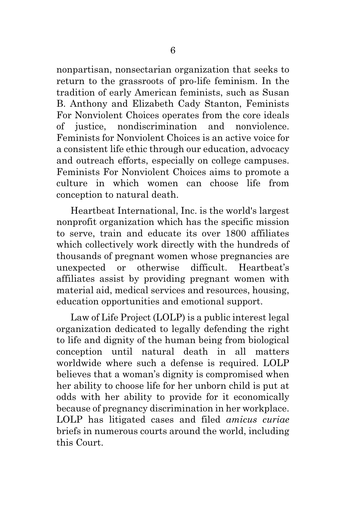nonpartisan, nonsectarian organization that seeks to return to the grassroots of pro-life feminism. In the tradition of early American feminists, such as Susan B. Anthony and Elizabeth Cady Stanton, Feminists For Nonviolent Choices operates from the core ideals of justice, nondiscrimination and nonviolence. Feminists for Nonviolent Choices is an active voice for a consistent life ethic through our education, advocacy and outreach efforts, especially on college campuses. Feminists For Nonviolent Choices aims to promote a culture in which women can choose life from conception to natural death.

Heartbeat International, Inc. is the world's largest nonprofit organization which has the specific mission to serve, train and educate its over 1800 affiliates which collectively work directly with the hundreds of thousands of pregnant women whose pregnancies are unexpected or otherwise difficult. Heartbeat's affiliates assist by providing pregnant women with material aid, medical services and resources, housing, education opportunities and emotional support.

Law of Life Project (LOLP) is a public interest legal organization dedicated to legally defending the right to life and dignity of the human being from biological conception until natural death in all matters worldwide where such a defense is required. LOLP believes that a woman's dignity is compromised when her ability to choose life for her unborn child is put at odds with her ability to provide for it economically because of pregnancy discrimination in her workplace. LOLP has litigated cases and filed *amicus curiae* briefs in numerous courts around the world, including this Court.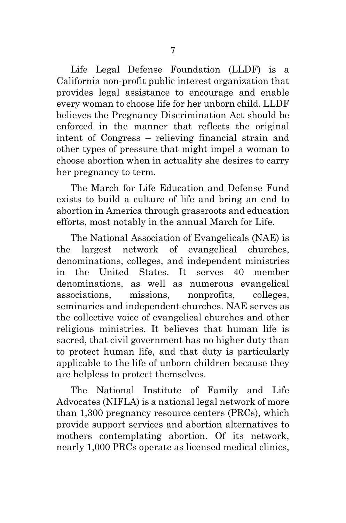Life Legal Defense Foundation (LLDF) is a California non-profit public interest organization that provides legal assistance to encourage and enable every woman to choose life for her unborn child. LLDF believes the Pregnancy Discrimination Act should be enforced in the manner that reflects the original intent of Congress – relieving financial strain and other types of pressure that might impel a woman to choose abortion when in actuality she desires to carry her pregnancy to term.

The March for Life Education and Defense Fund exists to build a culture of life and bring an end to abortion in America through grassroots and education efforts, most notably in the annual March for Life.

The National Association of Evangelicals (NAE) is the largest network of evangelical churches, denominations, colleges, and independent ministries in the United States. It serves 40 member denominations, as well as numerous evangelical associations, missions, nonprofits, colleges, seminaries and independent churches. NAE serves as the collective voice of evangelical churches and other religious ministries. It believes that human life is sacred, that civil government has no higher duty than to protect human life, and that duty is particularly applicable to the life of unborn children because they are helpless to protect themselves.

The National Institute of Family and Life Advocates (NIFLA) is a national legal network of more than 1,300 pregnancy resource centers (PRCs), which provide support services and abortion alternatives to mothers contemplating abortion. Of its network, nearly 1,000 PRCs operate as licensed medical clinics,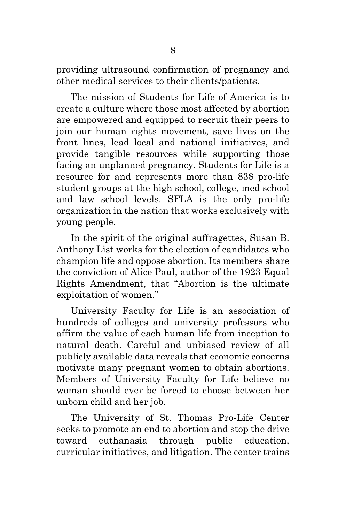providing ultrasound confirmation of pregnancy and other medical services to their clients/patients.

The mission of Students for Life of America is to create a culture where those most affected by abortion are empowered and equipped to recruit their peers to join our human rights movement, save lives on the front lines, lead local and national initiatives, and provide tangible resources while supporting those facing an unplanned pregnancy. Students for Life is a resource for and represents more than 838 pro-life student groups at the high school, college, med school and law school levels. SFLA is the only pro-life organization in the nation that works exclusively with young people.

In the spirit of the original suffragettes, Susan B. Anthony List works for the election of candidates who champion life and oppose abortion. Its members share the conviction of Alice Paul, author of the 1923 Equal Rights Amendment, that "Abortion is the ultimate exploitation of women."

University Faculty for Life is an association of hundreds of colleges and university professors who affirm the value of each human life from inception to natural death. Careful and unbiased review of all publicly available data reveals that economic concerns motivate many pregnant women to obtain abortions. Members of University Faculty for Life believe no woman should ever be forced to choose between her unborn child and her job.

The University of St. Thomas Pro-Life Center seeks to promote an end to abortion and stop the drive toward euthanasia through public education, curricular initiatives, and litigation. The center trains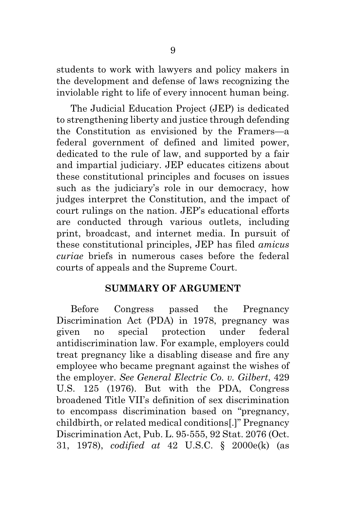students to work with lawyers and policy makers in the development and defense of laws recognizing the inviolable right to life of every innocent human being.

The Judicial Education Project (JEP) is dedicated to strengthening liberty and justice through defending the Constitution as envisioned by the Framers—a federal government of defined and limited power, dedicated to the rule of law, and supported by a fair and impartial judiciary. JEP educates citizens about these constitutional principles and focuses on issues such as the judiciary's role in our democracy, how judges interpret the Constitution, and the impact of court rulings on the nation. JEP's educational efforts are conducted through various outlets, including print, broadcast, and internet media. In pursuit of these constitutional principles, JEP has filed *amicus curiae* briefs in numerous cases before the federal courts of appeals and the Supreme Court.

#### **SUMMARY OF ARGUMENT**

Before Congress passed the Pregnancy Discrimination Act (PDA) in 1978, pregnancy was given no special protection under federal antidiscrimination law. For example, employers could treat pregnancy like a disabling disease and fire any employee who became pregnant against the wishes of the employer. *See General Electric Co. v. Gilbert*, 429 U.S. 125 (1976). But with the PDA, Congress broadened Title VII's definition of sex discrimination to encompass discrimination based on "pregnancy, childbirth, or related medical conditions[.]" Pregnancy Discrimination Act, Pub. L. 95-555, 92 Stat. 2076 (Oct. 31, 1978), *codified at* 42 U.S.C. § 2000e(k) (as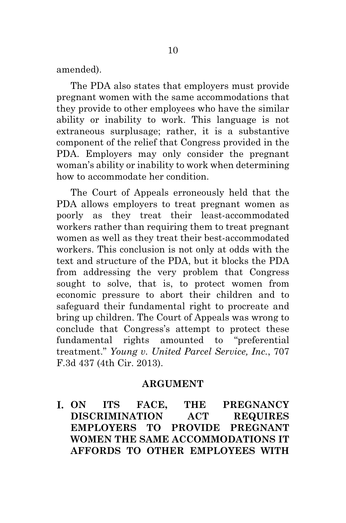amended).

The PDA also states that employers must provide pregnant women with the same accommodations that they provide to other employees who have the similar ability or inability to work. This language is not extraneous surplusage; rather, it is a substantive component of the relief that Congress provided in the PDA. Employers may only consider the pregnant woman's ability or inability to work when determining how to accommodate her condition.

The Court of Appeals erroneously held that the PDA allows employers to treat pregnant women as poorly as they treat their least-accommodated workers rather than requiring them to treat pregnant women as well as they treat their best-accommodated workers. This conclusion is not only at odds with the text and structure of the PDA, but it blocks the PDA from addressing the very problem that Congress sought to solve, that is, to protect women from economic pressure to abort their children and to safeguard their fundamental right to procreate and bring up children. The Court of Appeals was wrong to conclude that Congress's attempt to protect these fundamental rights amounted to "preferential treatment." *Young v. United Parcel Service, Inc.*, 707 F.3d 437 (4th Cir. 2013).

#### **ARGUMENT**

**ON ITS FACE, THE PREGNANCY DISCRIMINATION ACT REQUIRES EMPLOYERS TO PROVIDE PREGNANT WOMEN THE SAME ACCOMMODATIONS IT AFFORDS TO OTHER EMPLOYEES WITH**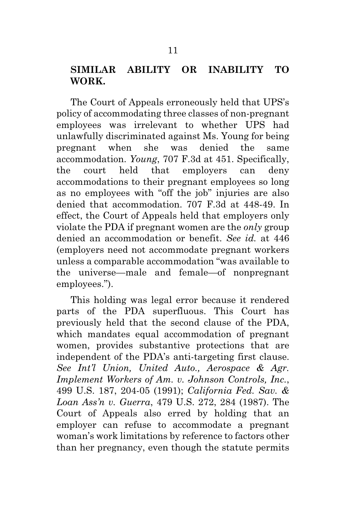### **SIMILAR ABILITY OR INABILITY TO WORK.**

The Court of Appeals erroneously held that UPS's policy of accommodating three classes of non-pregnant employees was irrelevant to whether UPS had unlawfully discriminated against Ms. Young for being pregnant when she was denied the same accommodation. *Young*, 707 F.3d at 451. Specifically, the court held that employers can deny accommodations to their pregnant employees so long as no employees with "off the job" injuries are also denied that accommodation. 707 F.3d at 448-49. In effect, the Court of Appeals held that employers only violate the PDA if pregnant women are the *only* group denied an accommodation or benefit. *See id.* at 446 (employers need not accommodate pregnant workers unless a comparable accommodation "was available to the universe—male and female—of nonpregnant employees.").

This holding was legal error because it rendered parts of the PDA superfluous. This Court has previously held that the second clause of the PDA, which mandates equal accommodation of pregnant women, provides substantive protections that are independent of the PDA's anti-targeting first clause. *See Int'l Union, United Auto., Aerospace & Agr. Implement Workers of Am. v. Johnson Controls, Inc.*, 499 U.S. 187, 204-05 (1991); *California Fed. Sav. & Loan Ass'n v. Guerra*, 479 U.S. 272, 284 (1987). The Court of Appeals also erred by holding that an employer can refuse to accommodate a pregnant woman's work limitations by reference to factors other than her pregnancy, even though the statute permits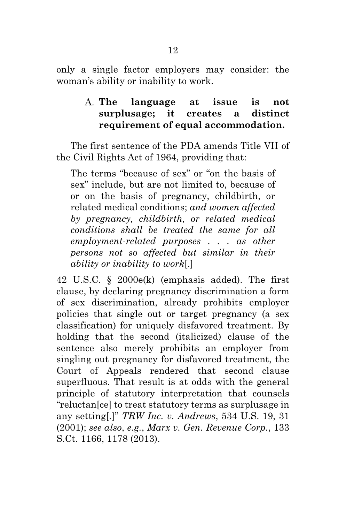only a single factor employers may consider: the woman's ability or inability to work.

### **The language at issue is not surplusage; it creates a distinct requirement of equal accommodation.**

The first sentence of the PDA amends Title VII of the Civil Rights Act of 1964, providing that:

The terms "because of sex" or "on the basis of sex" include, but are not limited to, because of or on the basis of pregnancy, childbirth, or related medical conditions; *and women affected by pregnancy, childbirth, or related medical conditions shall be treated the same for all employment-related purposes . . . as other persons not so affected but similar in their ability or inability to work*[.]

42 U.S.C. § 2000e(k) (emphasis added). The first clause, by declaring pregnancy discrimination a form of sex discrimination, already prohibits employer policies that single out or target pregnancy (a sex classification) for uniquely disfavored treatment. By holding that the second (italicized) clause of the sentence also merely prohibits an employer from singling out pregnancy for disfavored treatment, the Court of Appeals rendered that second clause superfluous. That result is at odds with the general principle of statutory interpretation that counsels "reluctan[ce] to treat statutory terms as surplusage in any setting[.]" *TRW Inc. v. Andrews*, 534 U.S. 19, 31 (2001); *see also*, *e.g.*, *Marx v. Gen. Revenue Corp.*, 133 S.Ct. 1166, 1178 (2013).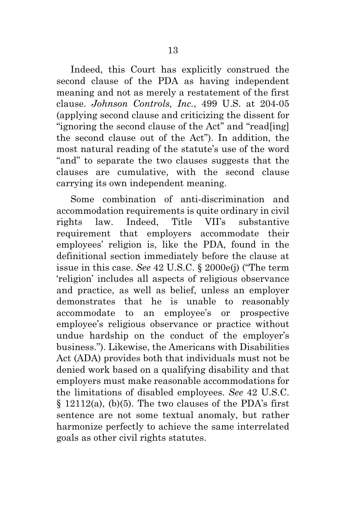Indeed, this Court has explicitly construed the second clause of the PDA as having independent meaning and not as merely a restatement of the first clause. *Johnson Controls, Inc.*, 499 U.S. at 204-05 (applying second clause and criticizing the dissent for "ignoring the second clause of the Act" and "read[ing] the second clause out of the Act"). In addition, the most natural reading of the statute's use of the word "and" to separate the two clauses suggests that the clauses are cumulative, with the second clause carrying its own independent meaning.

Some combination of anti-discrimination and accommodation requirements is quite ordinary in civil rights law. Indeed, Title VII's substantive requirement that employers accommodate their employees' religion is, like the PDA, found in the definitional section immediately before the clause at issue in this case. *See* 42 U.S.C. § 2000e(j) ("The term 'religion' includes all aspects of religious observance and practice, as well as belief, unless an employer demonstrates that he is unable to reasonably accommodate to an employee's or prospective employee's religious observance or practice without undue hardship on the conduct of the employer's business."). Likewise, the Americans with Disabilities Act (ADA) provides both that individuals must not be denied work based on a qualifying disability and that employers must make reasonable accommodations for the limitations of disabled employees. *See* 42 U.S.C.  $§ 12112(a), (b)(5)$ . The two clauses of the PDA's first sentence are not some textual anomaly, but rather harmonize perfectly to achieve the same interrelated goals as other civil rights statutes.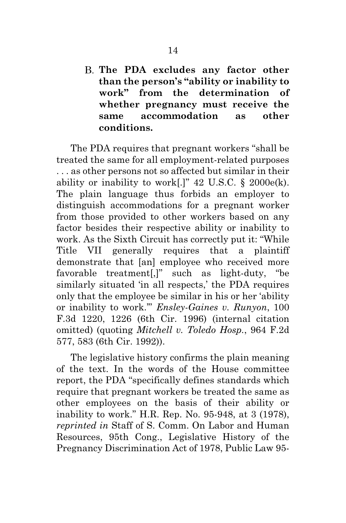**The PDA excludes any factor other than the person's "ability or inability to work" from the determination of whether pregnancy must receive the same accommodation as other conditions.** 

The PDA requires that pregnant workers "shall be treated the same for all employment-related purposes . . . as other persons not so affected but similar in their ability or inability to work[.]"  $42 \text{ U.S.C. }$  §  $2000 \text{e(k)}.$ The plain language thus forbids an employer to distinguish accommodations for a pregnant worker from those provided to other workers based on any factor besides their respective ability or inability to work. As the Sixth Circuit has correctly put it: "While Title VII generally requires that a plaintiff demonstrate that [an] employee who received more favorable treatment[,]" such as light-duty, "be similarly situated 'in all respects,' the PDA requires only that the employee be similar in his or her 'ability or inability to work.'" *Ensley-Gaines v. Runyon*, 100 F.3d 1220, 1226 (6th Cir. 1996) (internal citation omitted) (quoting *Mitchell v. Toledo Hosp.*, 964 F.2d 577, 583 (6th Cir. 1992)).

The legislative history confirms the plain meaning of the text. In the words of the House committee report, the PDA "specifically defines standards which require that pregnant workers be treated the same as other employees on the basis of their ability or inability to work." H.R. Rep. No. 95-948, at 3 (1978), *reprinted in* Staff of S. Comm. On Labor and Human Resources, 95th Cong., Legislative History of the Pregnancy Discrimination Act of 1978, Public Law 95-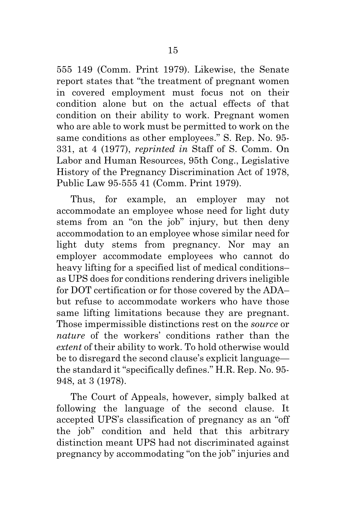555 149 (Comm. Print 1979). Likewise, the Senate report states that "the treatment of pregnant women in covered employment must focus not on their condition alone but on the actual effects of that condition on their ability to work. Pregnant women who are able to work must be permitted to work on the same conditions as other employees." S. Rep. No. 95- 331, at 4 (1977), *reprinted in* Staff of S. Comm. On Labor and Human Resources, 95th Cong., Legislative History of the Pregnancy Discrimination Act of 1978, Public Law 95-555 41 (Comm. Print 1979).

Thus, for example, an employer may not accommodate an employee whose need for light duty stems from an "on the job" injury, but then deny accommodation to an employee whose similar need for light duty stems from pregnancy. Nor may an employer accommodate employees who cannot do heavy lifting for a specified list of medical conditions– as UPS does for conditions rendering drivers ineligible for DOT certification or for those covered by the ADA– but refuse to accommodate workers who have those same lifting limitations because they are pregnant. Those impermissible distinctions rest on the *source* or *nature* of the workers' conditions rather than the *extent* of their ability to work. To hold otherwise would be to disregard the second clause's explicit language the standard it "specifically defines." H.R. Rep. No. 95- 948, at 3 (1978).

The Court of Appeals, however, simply balked at following the language of the second clause. It accepted UPS's classification of pregnancy as an "off the job" condition and held that this arbitrary distinction meant UPS had not discriminated against pregnancy by accommodating "on the job" injuries and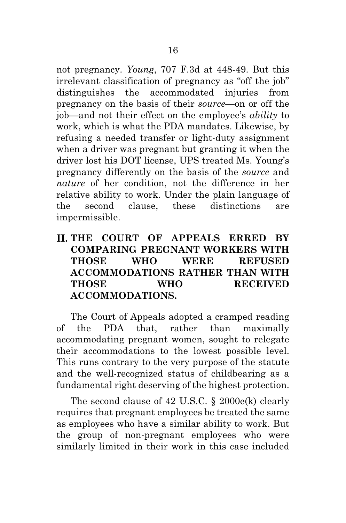not pregnancy. *Young*, 707 F.3d at 448-49. But this irrelevant classification of pregnancy as "off the job" distinguishes the accommodated injuries from pregnancy on the basis of their *source*—on or off the job—and not their effect on the employee's *ability* to work, which is what the PDA mandates. Likewise, by refusing a needed transfer or light-duty assignment when a driver was pregnant but granting it when the driver lost his DOT license, UPS treated Ms. Young's pregnancy differently on the basis of the *source* and *nature* of her condition, not the difference in her relative ability to work. Under the plain language of the second clause, these distinctions are impermissible.

## **THE COURT OF APPEALS ERRED BY COMPARING PREGNANT WORKERS WITH THOSE WHO WERE REFUSED ACCOMMODATIONS RATHER THAN WITH THOSE WHO RECEIVED ACCOMMODATIONS.**

The Court of Appeals adopted a cramped reading of the PDA that, rather than maximally accommodating pregnant women, sought to relegate their accommodations to the lowest possible level. This runs contrary to the very purpose of the statute and the well-recognized status of childbearing as a fundamental right deserving of the highest protection.

The second clause of 42 U.S.C. § 2000e(k) clearly requires that pregnant employees be treated the same as employees who have a similar ability to work. But the group of non-pregnant employees who were similarly limited in their work in this case included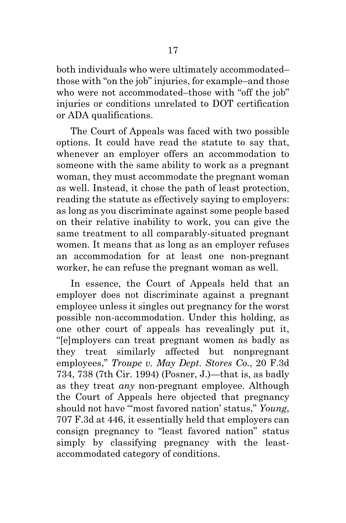both individuals who were ultimately accommodated– those with "on the job" injuries, for example–and those who were not accommodated–those with "off the job" injuries or conditions unrelated to DOT certification or ADA qualifications.

The Court of Appeals was faced with two possible options. It could have read the statute to say that, whenever an employer offers an accommodation to someone with the same ability to work as a pregnant woman, they must accommodate the pregnant woman as well. Instead, it chose the path of least protection, reading the statute as effectively saying to employers: as long as you discriminate against some people based on their relative inability to work, you can give the same treatment to all comparably-situated pregnant women. It means that as long as an employer refuses an accommodation for at least one non-pregnant worker, he can refuse the pregnant woman as well.

In essence, the Court of Appeals held that an employer does not discriminate against a pregnant employee unless it singles out pregnancy for the worst possible non-accommodation. Under this holding, as one other court of appeals has revealingly put it, "[e]mployers can treat pregnant women as badly as they treat similarly affected but nonpregnant employees," *Troupe v. May Dept. Stores Co.*, 20 F.3d 734, 738 (7th Cir. 1994) (Posner, J.)—that is, as badly as they treat *any* non-pregnant employee. Although the Court of Appeals here objected that pregnancy should not have "'most favored nation' status," *Young*, 707 F.3d at 446, it essentially held that employers can consign pregnancy to "least favored nation" status simply by classifying pregnancy with the leastaccommodated category of conditions.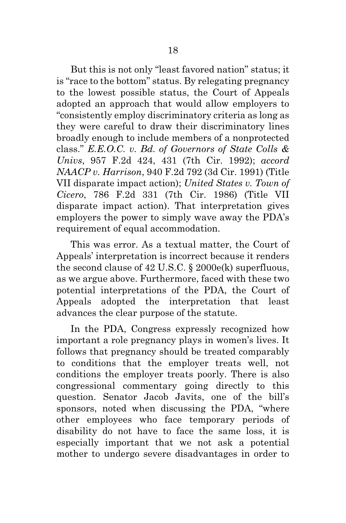But this is not only "least favored nation" status; it is "race to the bottom" status. By relegating pregnancy to the lowest possible status, the Court of Appeals adopted an approach that would allow employers to "consistently employ discriminatory criteria as long as they were careful to draw their discriminatory lines broadly enough to include members of a nonprotected class." *E.E.O.C. v. Bd. of Governors of State Colls & Univs*, 957 F.2d 424, 431 (7th Cir. 1992); *accord NAACP v. Harrison*, 940 F.2d 792 (3d Cir. 1991) (Title VII disparate impact action); *United States v. Town of Cicero*, 786 F.2d 331 (7th Cir. 1986) (Title VII disparate impact action). That interpretation gives employers the power to simply wave away the PDA's requirement of equal accommodation.

This was error. As a textual matter, the Court of Appeals' interpretation is incorrect because it renders the second clause of 42 U.S.C. § 2000e(k) superfluous, as we argue above. Furthermore, faced with these two potential interpretations of the PDA, the Court of Appeals adopted the interpretation that least advances the clear purpose of the statute.

In the PDA, Congress expressly recognized how important a role pregnancy plays in women's lives. It follows that pregnancy should be treated comparably to conditions that the employer treats well, not conditions the employer treats poorly. There is also congressional commentary going directly to this question. Senator Jacob Javits, one of the bill's sponsors, noted when discussing the PDA, "where other employees who face temporary periods of disability do not have to face the same loss, it is especially important that we not ask a potential mother to undergo severe disadvantages in order to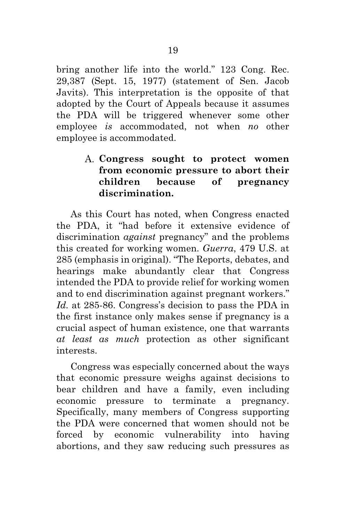bring another life into the world." 123 Cong. Rec. 29,387 (Sept. 15, 1977) (statement of Sen. Jacob Javits). This interpretation is the opposite of that adopted by the Court of Appeals because it assumes the PDA will be triggered whenever some other employee *is* accommodated, not when *no* other employee is accommodated.

## **Congress sought to protect women from economic pressure to abort their children because of pregnancy discrimination.**

As this Court has noted, when Congress enacted the PDA, it "had before it extensive evidence of discrimination *against* pregnancy" and the problems this created for working women. *Guerra*, 479 U.S. at 285 (emphasis in original). "The Reports, debates, and hearings make abundantly clear that Congress intended the PDA to provide relief for working women and to end discrimination against pregnant workers." *Id.* at 285-86. Congress's decision to pass the PDA in the first instance only makes sense if pregnancy is a crucial aspect of human existence, one that warrants *at least as much* protection as other significant interests.

Congress was especially concerned about the ways that economic pressure weighs against decisions to bear children and have a family, even including economic pressure to terminate a pregnancy. Specifically, many members of Congress supporting the PDA were concerned that women should not be forced by economic vulnerability into having abortions, and they saw reducing such pressures as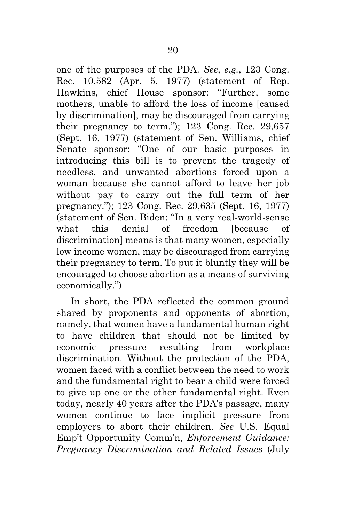one of the purposes of the PDA. *See*, *e.g.*, 123 Cong. Rec. 10,582 (Apr. 5, 1977) (statement of Rep. Hawkins, chief House sponsor: "Further, some mothers, unable to afford the loss of income [caused by discrimination], may be discouraged from carrying their pregnancy to term."); 123 Cong. Rec. 29,657 (Sept. 16, 1977) (statement of Sen. Williams, chief Senate sponsor: "One of our basic purposes in introducing this bill is to prevent the tragedy of needless, and unwanted abortions forced upon a woman because she cannot afford to leave her job without pay to carry out the full term of her pregnancy."); 123 Cong. Rec. 29,635 (Sept. 16, 1977) (statement of Sen. Biden: "In a very real-world-sense what this denial of freedom [because of discrimination] means is that many women, especially low income women, may be discouraged from carrying their pregnancy to term. To put it bluntly they will be encouraged to choose abortion as a means of surviving economically.")

In short, the PDA reflected the common ground shared by proponents and opponents of abortion, namely, that women have a fundamental human right to have children that should not be limited by economic pressure resulting from workplace discrimination. Without the protection of the PDA, women faced with a conflict between the need to work and the fundamental right to bear a child were forced to give up one or the other fundamental right. Even today, nearly 40 years after the PDA's passage, many women continue to face implicit pressure from employers to abort their children. See U.S. Equal Emp't Opportunity Comm'n, *Enforcement Guidance: Pregnancy Discrimination and Related Issues* (July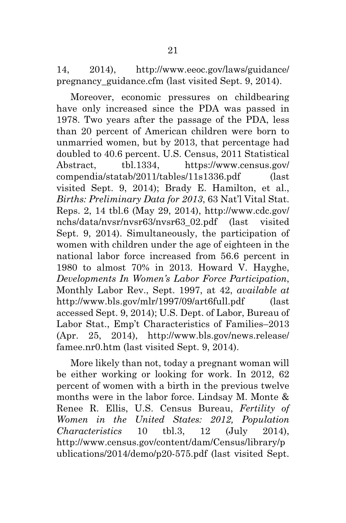14, 2014), http://www.eeoc.gov/laws/guidance/ pregnancy\_guidance.cfm (last visited Sept. 9, 2014).

Moreover, economic pressures on childbearing have only increased since the PDA was passed in 1978. Two years after the passage of the PDA, less than 20 percent of American children were born to unmarried women, but by 2013, that percentage had doubled to 40.6 percent. U.S. Census, 2011 Statistical Abstract, tbl.1334, https://www.census.gov/ compendia/statab/2011/tables/11s1336.pdf (last visited Sept. 9, 2014); Brady E. Hamilton, et al., *Births: Preliminary Data for 2013*, 63 Nat'l Vital Stat. Reps. 2, 14 tbl.6 (May 29, 2014), http://www.cdc.gov/ nchs/data/nvsr/nvsr63/nvsr63\_02.pdf (last visited Sept. 9, 2014). Simultaneously, the participation of women with children under the age of eighteen in the national labor force increased from 56.6 percent in 1980 to almost 70% in 2013. Howard V. Hayghe, *Developments In Women's Labor Force Participation*, Monthly Labor Rev., Sept. 1997, at 42, *available at* http://www.bls.gov/mlr/1997/09/art6full.pdf (last accessed Sept. 9, 2014); U.S. Dept. of Labor, Bureau of Labor Stat., Emp't Characteristics of Families–2013 (Apr. 25, 2014), http://www.bls.gov/news.release/ famee.nr0.htm (last visited Sept. 9, 2014).

More likely than not, today a pregnant woman will be either working or looking for work. In 2012, 62 percent of women with a birth in the previous twelve months were in the labor force. Lindsay M. Monte & Renee R. Ellis, U.S. Census Bureau, *Fertility of Women in the United States: 2012, Population Characteristics* 10 tbl.3, 12 (July 2014), http://www.census.gov/content/dam/Census/library/p ublications/2014/demo/p20-575.pdf (last visited Sept.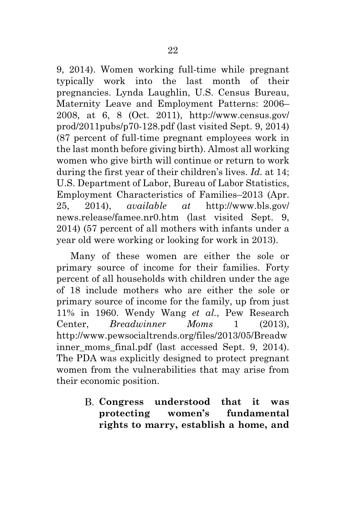9, 2014). Women working full-time while pregnant typically work into the last month of their pregnancies. Lynda Laughlin, U.S. Census Bureau, Maternity Leave and Employment Patterns: 2006– 2008, at 6, 8 (Oct. 2011), http://www.census.gov/ prod/2011pubs/p70-128.pdf (last visited Sept. 9, 2014) (87 percent of full-time pregnant employees work in the last month before giving birth). Almost all working women who give birth will continue or return to work during the first year of their children's lives. *Id.* at 14; U.S. Department of Labor, Bureau of Labor Statistics, Employment Characteristics of Families–2013 (Apr. 25, 2014), *available at* http://www.bls.gov/ news.release/famee.nr0.htm (last visited Sept. 9, 2014) (57 percent of all mothers with infants under a year old were working or looking for work in 2013).

Many of these women are either the sole or primary source of income for their families. Forty percent of all households with children under the age of 18 include mothers who are either the sole or primary source of income for the family, up from just 11% in 1960. Wendy Wang *et al.*, Pew Research Center, *Breadwinner Moms* 1 (2013), http://www.pewsocialtrends.org/files/2013/05/Breadw inner moms final.pdf (last accessed Sept. 9, 2014). The PDA was explicitly designed to protect pregnant women from the vulnerabilities that may arise from their economic position.

> **Congress understood that it was protecting women's fundamental rights to marry, establish a home, and**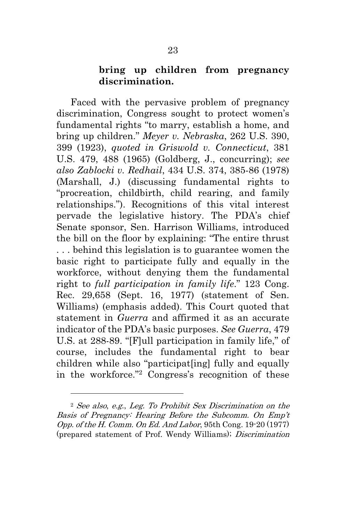### **bring up children from pregnancy discrimination.**

Faced with the pervasive problem of pregnancy discrimination, Congress sought to protect women's fundamental rights "to marry, establish a home, and bring up children." *Meyer v. Nebraska*, 262 U.S. 390, 399 (1923), *quoted in Griswold v. Connecticut*, 381 U.S. 479, 488 (1965) (Goldberg, J., concurring); *see also Zablocki v. Redhail*, 434 U.S. 374, 385-86 (1978) (Marshall, J.) (discussing fundamental rights to "procreation, childbirth, child rearing, and family relationships."). Recognitions of this vital interest pervade the legislative history. The PDA's chief Senate sponsor, Sen. Harrison Williams, introduced the bill on the floor by explaining: "The entire thrust . . . behind this legislation is to guarantee women the basic right to participate fully and equally in the workforce, without denying them the fundamental right to *full participation in family life*." 123 Cong. Rec. 29,658 (Sept. 16, 1977) (statement of Sen. Williams) (emphasis added). This Court quoted that statement in *Guerra* and affirmed it as an accurate indicator of the PDA's basic purposes. *See Guerra*, 479 U.S. at 288-89. "[F]ull participation in family life," of course, includes the fundamental right to bear children while also "participat[ing] fully and equally in the workforce."2 Congress's recognition of these

l.

<sup>2</sup> See also, e.g., Leg. To Prohibit Sex Discrimination on the Basis of Pregnancy: Hearing Before the Subcomm. On Emp't Opp. of the H. Comm. On Ed. And Labor, 95th Cong. 19-20 (1977) (prepared statement of Prof. Wendy Williams); Discrimination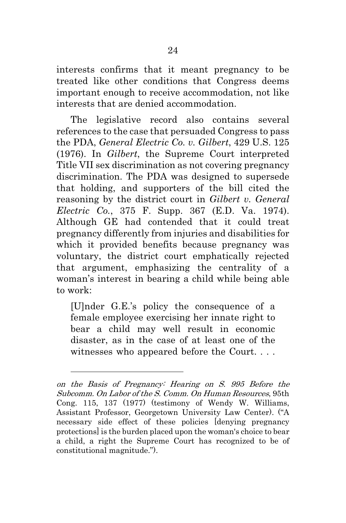interests confirms that it meant pregnancy to be treated like other conditions that Congress deems important enough to receive accommodation, not like interests that are denied accommodation.

The legislative record also contains several references to the case that persuaded Congress to pass the PDA, *General Electric Co. v. Gilbert*, 429 U.S. 125 (1976). In *Gilbert*, the Supreme Court interpreted Title VII sex discrimination as not covering pregnancy discrimination. The PDA was designed to supersede that holding, and supporters of the bill cited the reasoning by the district court in *Gilbert v. General Electric Co.*, 375 F. Supp. 367 (E.D. Va. 1974). Although GE had contended that it could treat pregnancy differently from injuries and disabilities for which it provided benefits because pregnancy was voluntary, the district court emphatically rejected that argument, emphasizing the centrality of a woman's interest in bearing a child while being able to work:

[U]nder G.E.'s policy the consequence of a female employee exercising her innate right to bear a child may well result in economic disaster, as in the case of at least one of the witnesses who appeared before the Court. . . .

 $\overline{a}$ 

on the Basis of Pregnancy: Hearing on S. 995 Before the Subcomm. On Labor of the S. Comm. On Human Resources, 95th Cong. 115, 137 (1977) (testimony of Wendy W. Williams, Assistant Professor, Georgetown University Law Center). ("A necessary side effect of these policies [denying pregnancy protections] is the burden placed upon the woman's choice to bear a child, a right the Supreme Court has recognized to be of constitutional magnitude.").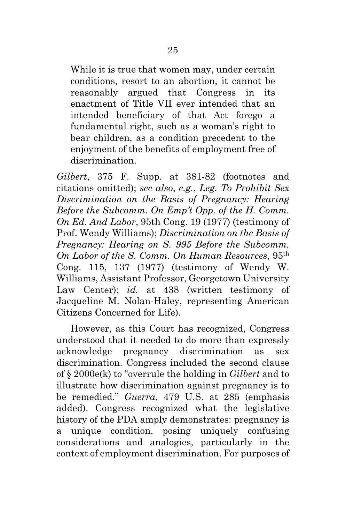While it is true that women may, under certain conditions, resort to an abortion, it cannot be reasonably argued that Congress in its enactment of Title VII ever intended that an intended beneficiary of that Act forego a fundamental right, such as a woman's right to bear children, as a condition precedent to the enjoyment of the benefits of employment free of discrimination.

*Gilbert*, 375 F. Supp. at 381-82 (footnotes and citations omitted); *see also*, *e.g.*, *Leg. To Prohibit Sex Discrimination on the Basis of Pregnancy: Hearing Before the Subcomm. On Emp't Opp. of the H. Comm. On Ed. And Labor*, 95th Cong. 19 (1977) (testimony of Prof. Wendy Williams); *Discrimination on the Basis of Pregnancy: Hearing on S. 995 Before the Subcomm. On Labor of the S. Comm. On Human Resources*, 95th Cong. 115, 137 (1977) (testimony of Wendy W. Williams, Assistant Professor, Georgetown University Law Center); *id.* at 438 (written testimony of Jacqueline M. Nolan-Haley, representing American Citizens Concerned for Life).

However, as this Court has recognized, Congress understood that it needed to do more than expressly acknowledge pregnancy discrimination as sex discrimination. Congress included the second clause of § 2000e(k) to "overrule the holding in *Gilbert* and to illustrate how discrimination against pregnancy is to be remedied." *Guerra*, 479 U.S. at 285 (emphasis added). Congress recognized what the legislative history of the PDA amply demonstrates: pregnancy is a unique condition, posing uniquely confusing considerations and analogies, particularly in the context of employment discrimination. For purposes of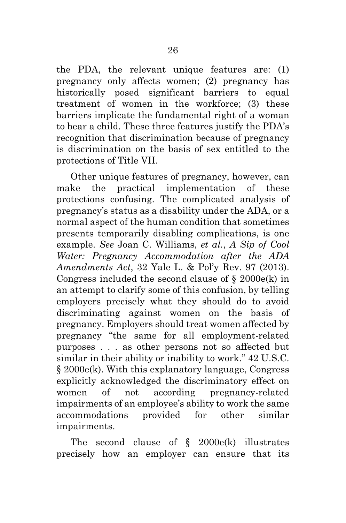the PDA, the relevant unique features are: (1) pregnancy only affects women; (2) pregnancy has historically posed significant barriers to equal treatment of women in the workforce; (3) these barriers implicate the fundamental right of a woman to bear a child. These three features justify the PDA's recognition that discrimination because of pregnancy is discrimination on the basis of sex entitled to the protections of Title VII.

Other unique features of pregnancy, however, can make the practical implementation of these protections confusing. The complicated analysis of pregnancy's status as a disability under the ADA, or a normal aspect of the human condition that sometimes presents temporarily disabling complications, is one example. *See* Joan C. Williams, *et al.*, *A Sip of Cool Water: Pregnancy Accommodation after the ADA Amendments Act*, 32 Yale L. & Pol'y Rev. 97 (2013). Congress included the second clause of  $\S$  2000e(k) in an attempt to clarify some of this confusion, by telling employers precisely what they should do to avoid discriminating against women on the basis of pregnancy. Employers should treat women affected by pregnancy "the same for all employment-related purposes . . . as other persons not so affected but similar in their ability or inability to work." 42 U.S.C. § 2000e(k). With this explanatory language, Congress explicitly acknowledged the discriminatory effect on women of not according pregnancy-related impairments of an employee's ability to work the same accommodations provided for other similar impairments.

The second clause of  $\{8, 2000e(k) \}$  illustrates precisely how an employer can ensure that its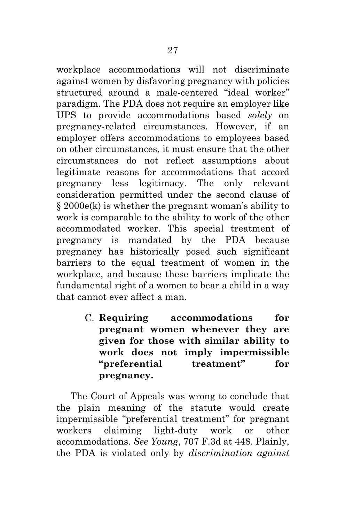workplace accommodations will not discriminate against women by disfavoring pregnancy with policies structured around a male-centered "ideal worker" paradigm. The PDA does not require an employer like UPS to provide accommodations based *solely* on pregnancy-related circumstances. However, if an employer offers accommodations to employees based on other circumstances, it must ensure that the other circumstances do not reflect assumptions about legitimate reasons for accommodations that accord pregnancy less legitimacy. The only relevant consideration permitted under the second clause of § 2000e(k) is whether the pregnant woman's ability to work is comparable to the ability to work of the other accommodated worker. This special treatment of pregnancy is mandated by the PDA because pregnancy has historically posed such significant barriers to the equal treatment of women in the workplace, and because these barriers implicate the fundamental right of a women to bear a child in a way that cannot ever affect a man.

> **Requiring accommodations for pregnant women whenever they are given for those with similar ability to work does not imply impermissible "preferential treatment" for pregnancy.**

The Court of Appeals was wrong to conclude that the plain meaning of the statute would create impermissible "preferential treatment" for pregnant workers claiming light-duty work or other accommodations. *See Young*, 707 F.3d at 448. Plainly, the PDA is violated only by *discrimination against*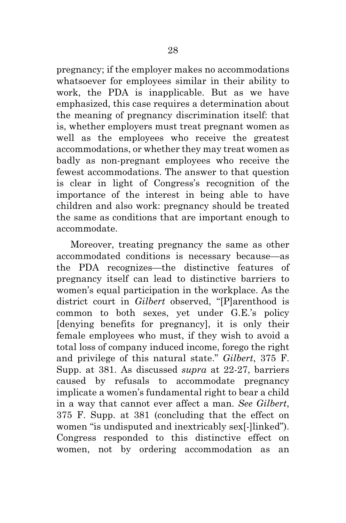pregnancy; if the employer makes no accommodations whatsoever for employees similar in their ability to work, the PDA is inapplicable. But as we have emphasized, this case requires a determination about the meaning of pregnancy discrimination itself: that is, whether employers must treat pregnant women as well as the employees who receive the greatest accommodations, or whether they may treat women as badly as non-pregnant employees who receive the fewest accommodations. The answer to that question is clear in light of Congress's recognition of the importance of the interest in being able to have children and also work: pregnancy should be treated the same as conditions that are important enough to accommodate.

Moreover, treating pregnancy the same as other accommodated conditions is necessary because—as the PDA recognizes—the distinctive features of pregnancy itself can lead to distinctive barriers to women's equal participation in the workplace. As the district court in *Gilbert* observed, "[P]arenthood is common to both sexes, yet under G.E.'s policy [denying benefits for pregnancy], it is only their female employees who must, if they wish to avoid a total loss of company induced income, forego the right and privilege of this natural state." *Gilbert*, 375 F. Supp. at 381. As discussed *supra* at 22-27, barriers caused by refusals to accommodate pregnancy implicate a women's fundamental right to bear a child in a way that cannot ever affect a man. *See Gilbert*, 375 F. Supp. at 381 (concluding that the effect on women "is undisputed and inextricably sex[-]linked"). Congress responded to this distinctive effect on women, not by ordering accommodation as an